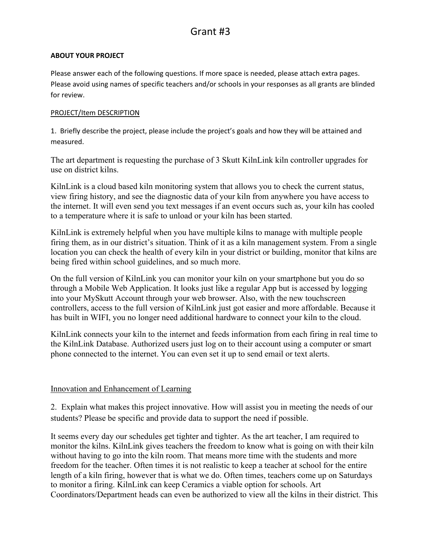# Grant #3

## **ABOUT YOUR PROJECT**

Please answer each of the following questions. If more space is needed, please attach extra pages. Please avoid using names of specific teachers and/or schools in your responses as all grants are blinded for review.

## PROJECT/Item DESCRIPTION

1. Briefly describe the project, please include the project's goals and how they will be attained and measured.

The art department is requesting the purchase of 3 Skutt KilnLink kiln controller upgrades for use on district kilns.

KilnLink is a cloud based kiln monitoring system that allows you to check the current status, view firing history, and see the diagnostic data of your kiln from anywhere you have access to the internet. It will even send you text messages if an event occurs such as, your kiln has cooled to a temperature where it is safe to unload or your kiln has been started.

KilnLink is extremely helpful when you have multiple kilns to manage with multiple people firing them, as in our district's situation. Think of it as a kiln management system. From a single location you can check the health of every kiln in your district or building, monitor that kilns are being fired within school guidelines, and so much more.

On the full version of KilnLink you can monitor your kiln on your smartphone but you do so through a Mobile Web Application. It looks just like a regular App but is accessed by logging into your MySkutt Account through your web browser. Also, with the new touchscreen controllers, access to the full version of KilnLink just got easier and more affordable. Because it has built in WIFI, you no longer need additional hardware to connect your kiln to the cloud.

KilnLink connects your kiln to the internet and feeds information from each firing in real time to the KilnLink Database. Authorized users just log on to their account using a computer or smart phone connected to the internet. You can even set it up to send email or text alerts.

## Innovation and Enhancement of Learning

2. Explain what makes this project innovative. How will assist you in meeting the needs of our students? Please be specific and provide data to support the need if possible.

It seems every day our schedules get tighter and tighter. As the art teacher, I am required to monitor the kilns. KilnLink gives teachers the freedom to know what is going on with their kiln without having to go into the kiln room. That means more time with the students and more freedom for the teacher. Often times it is not realistic to keep a teacher at school for the entire length of a kiln firing, however that is what we do. Often times, teachers come up on Saturdays to monitor a firing. KilnLink can keep Ceramics a viable option for schools. Art Coordinators/Department heads can even be authorized to view all the kilns in their district. This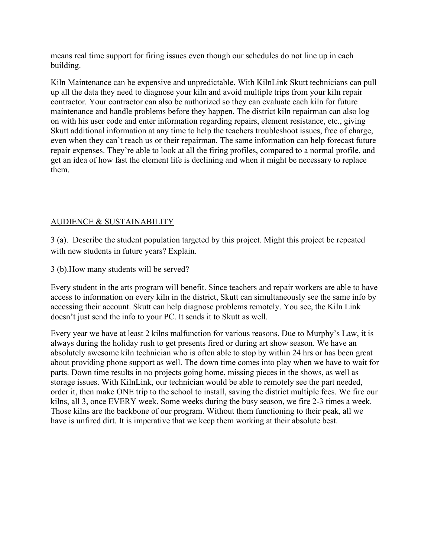means real time support for firing issues even though our schedules do not line up in each building.

Kiln Maintenance can be expensive and unpredictable. With KilnLink Skutt technicians can pull up all the data they need to diagnose your kiln and avoid multiple trips from your kiln repair contractor. Your contractor can also be authorized so they can evaluate each kiln for future maintenance and handle problems before they happen. The district kiln repairman can also log on with his user code and enter information regarding repairs, element resistance, etc., giving Skutt additional information at any time to help the teachers troubleshoot issues, free of charge, even when they can't reach us or their repairman. The same information can help forecast future repair expenses. They're able to look at all the firing profiles, compared to a normal profile, and get an idea of how fast the element life is declining and when it might be necessary to replace them.

# AUDIENCE & SUSTAINABILITY

3 (a). Describe the student population targeted by this project. Might this project be repeated with new students in future years? Explain.

3 (b).How many students will be served?

Every student in the arts program will benefit. Since teachers and repair workers are able to have access to information on every kiln in the district, Skutt can simultaneously see the same info by accessing their account. Skutt can help diagnose problems remotely. You see, the Kiln Link doesn't just send the info to your PC. It sends it to Skutt as well.

Every year we have at least 2 kilns malfunction for various reasons. Due to Murphy's Law, it is always during the holiday rush to get presents fired or during art show season. We have an absolutely awesome kiln technician who is often able to stop by within 24 hrs or has been great about providing phone support as well. The down time comes into play when we have to wait for parts. Down time results in no projects going home, missing pieces in the shows, as well as storage issues. With KilnLink, our technician would be able to remotely see the part needed, order it, then make ONE trip to the school to install, saving the district multiple fees. We fire our kilns, all 3, once EVERY week. Some weeks during the busy season, we fire 2-3 times a week. Those kilns are the backbone of our program. Without them functioning to their peak, all we have is unfired dirt. It is imperative that we keep them working at their absolute best.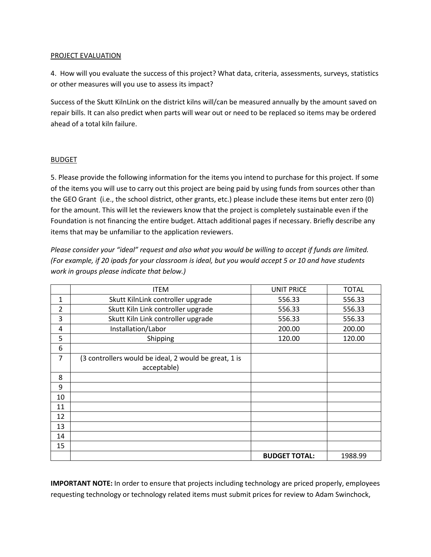#### PROJECT EVALUATION

4. How will you evaluate the success of this project? What data, criteria, assessments, surveys, statistics or other measures will you use to assess its impact?

Success of the Skutt KilnLink on the district kilns will/can be measured annually by the amount saved on repair bills. It can also predict when parts will wear out or need to be replaced so items may be ordered ahead of a total kiln failure.

#### BUDGET

5. Please provide the following information for the items you intend to purchase for this project. If some of the items you will use to carry out this project are being paid by using funds from sources other than the GEO Grant (i.e., the school district, other grants, etc.) please include these items but enter zero (0) for the amount. This will let the reviewers know that the project is completely sustainable even if the Foundation is not financing the entire budget. Attach additional pages if necessary. Briefly describe any items that may be unfamiliar to the application reviewers.

*Please consider your "ideal" request and also what you would be willing to accept if funds are limited. (For example, if 20 ipads for your classroom is ideal, but you would accept 5 or 10 and have students work in groups please indicate that below.)*

|                | <b>ITEM</b>                                           | UNIT PRICE           | <b>TOTAL</b> |
|----------------|-------------------------------------------------------|----------------------|--------------|
| 1              | Skutt KilnLink controller upgrade                     | 556.33               | 556.33       |
| $\overline{2}$ | Skutt Kiln Link controller upgrade                    | 556.33               | 556.33       |
| 3              | Skutt Kiln Link controller upgrade                    | 556.33               | 556.33       |
| 4              | Installation/Labor                                    | 200.00               | 200.00       |
| 5              | Shipping                                              | 120.00               | 120.00       |
| 6              |                                                       |                      |              |
| 7              | (3 controllers would be ideal, 2 would be great, 1 is |                      |              |
|                | acceptable)                                           |                      |              |
| 8              |                                                       |                      |              |
| 9              |                                                       |                      |              |
| 10             |                                                       |                      |              |
| 11             |                                                       |                      |              |
| 12             |                                                       |                      |              |
| 13             |                                                       |                      |              |
| 14             |                                                       |                      |              |
| 15             |                                                       |                      |              |
|                |                                                       | <b>BUDGET TOTAL:</b> | 1988.99      |

**IMPORTANT NOTE:** In order to ensure that projects including technology are priced properly, employees requesting technology or technology related items must submit prices for review to Adam Swinchock,